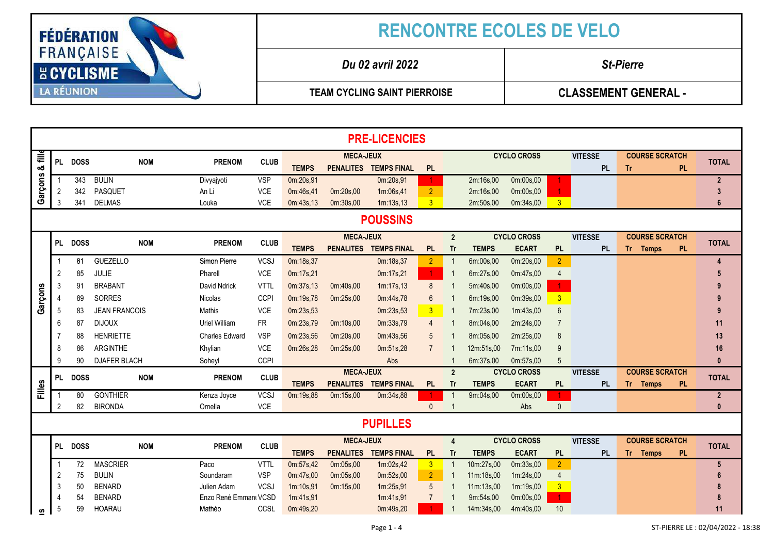

| <b>PRE-LICENCIES</b> |                 |             |                      |                       |             |              |                  |                       |                |                         |                    |                    |                      |                |                       |           |                                  |
|----------------------|-----------------|-------------|----------------------|-----------------------|-------------|--------------|------------------|-----------------------|----------------|-------------------------|--------------------|--------------------|----------------------|----------------|-----------------------|-----------|----------------------------------|
| 릍                    |                 | PL DOSS     | <b>NOM</b>           | <b>PRENOM</b>         | <b>CLUB</b> |              | <b>MECA-JEUX</b> |                       |                |                         |                    | <b>CYCLO CROSS</b> |                      | <b>VITESSE</b> | <b>COURSE SCRATCH</b> |           | <b>TOTAL</b>                     |
| න්                   |                 |             |                      |                       |             | <b>TEMPS</b> |                  | PENALITES TEMPS FINAL | <b>PL</b>      |                         |                    |                    |                      | <b>PL</b>      | Tr.                   | PL.       |                                  |
| Garçons              |                 | 343         | <b>BULIN</b>         | Divyajyoti            | <b>VSP</b>  | 0m:20s,91    |                  | 0m:20s,91             |                |                         | 2m:16s,00          | 0m:00s,00          |                      |                |                       |           | $\overline{2}$                   |
|                      | $\overline{2}$  | 342         | PASQUET              | An Li                 | <b>VCE</b>  | 0m:46s.41    | 0m:20s,00        | 1m:06s,41             | 2 <sup>7</sup> |                         | 2m:16s,00          | 0m:00s,00          |                      |                |                       |           | $\overline{3}$                   |
|                      | 3               | 341         | <b>DELMAS</b>        | Louka                 | VCE         | 0m:43s,13    | 0m:30s,00        | 1m:13s,13             | 3 <sup>1</sup> |                         | 2m:50s,00          | 0m:34s,00          | $\overline{3}$       |                |                       |           | 6                                |
|                      | <b>POUSSINS</b> |             |                      |                       |             |              |                  |                       |                |                         |                    |                    |                      |                |                       |           |                                  |
|                      |                 |             |                      |                       |             |              | <b>MECA-JEUX</b> |                       |                | $\overline{2}$          |                    | <b>CYCLO CROSS</b> |                      | <b>VITESSE</b> | <b>COURSE SCRATCH</b> |           |                                  |
|                      | PL .            | <b>DOSS</b> | <b>NOM</b>           | <b>PRENOM</b>         | <b>CLUB</b> | <b>TEMPS</b> |                  | PENALITES TEMPS FINAL | <b>PL</b>      | <b>Tr</b>               | <b>TEMPS</b>       | <b>ECART</b>       | PL                   | <b>PL</b>      | Tr Temps              | <b>PL</b> | <b>TOTAL</b>                     |
|                      | -1              | 81          | <b>GUEZELLO</b>      | Simon Pierre          | <b>VCSJ</b> | 0m:18s,37    |                  | 0m:18s,37             | $\overline{2}$ | $\overline{1}$          | 6m:00s,00          | 0m:20s,00          | 2 <sup>1</sup>       |                |                       |           | $\overline{4}$                   |
|                      | $\overline{2}$  | 85          | JULIE                | Pharell               | VCE         | 0m:17s,21    |                  | 0m:17s,21             | $\mathbf{1}$   | $\overline{1}$          | 6m:27s,00          | 0m:47s,00          | $\overline{4}$       |                |                       |           | 5                                |
|                      | 3               | 91          | <b>BRABANT</b>       | David Ndrick          | <b>VTTL</b> | 0m:37s,13    | 0m:40s,00        | 1m:17s,13             | 8              |                         | 5m:40s,00          | 0m:00s,00          |                      |                |                       |           | 9                                |
|                      |                 | 89          | SORRES               | Nicolas               | <b>CCPI</b> | 0m:19s,78    | 0m:25s.00        | 0m:44s,78             | 6              |                         | 6m:19s,00          | 0m:39s,00          | 3 <sup>1</sup>       |                |                       |           |                                  |
| Garçons              | -5              | 83          | <b>JEAN FRANCOIS</b> | Mathis                | <b>VCE</b>  | 0m:23s,53    |                  | 0m:23s,53             | 3 <sup>7</sup> | $\overline{1}$          | 7m:23s,00          | 1m:43s,00          | $6\phantom{1}6$      |                |                       |           | 9                                |
|                      | 6               | 87          | <b>DIJOUX</b>        | Uriel William         | <b>FR</b>   | 0m:23s,79    | 0m:10s,00        | 0m:33s,79             | $\overline{4}$ |                         | 8m:04s,00          | 2m:24s,00          |                      |                |                       |           | 11                               |
|                      |                 | 88          | <b>HENRIETTE</b>     | <b>Charles Edward</b> | <b>VSP</b>  | 0m:23s,56    | 0m:20s,00        | 0m:43s,56             | 5              |                         | 8m:05s,00          | 2m:25s,00          | 8                    |                |                       |           | 13                               |
|                      |                 | 86          | ARGINTHE             | Khylian               | <b>VCE</b>  | 0m:26s,28    | 0m:25s,00        | 0m:51s,28             | $\overline{7}$ |                         | 12m:51s,00         | 7m:11s,00          | 9                    |                |                       |           | 16                               |
|                      | ٩               | 90          | <b>DJAFER BLACH</b>  | Soheyl                | CCPI        |              |                  | Abs                   |                | $\mathbf 1$             | 6m:37s,00          | 0m:57s,00          | 5                    |                |                       |           | $\mathbf{0}$                     |
|                      |                 |             |                      |                       |             |              | <b>MECA-JEUX</b> |                       |                | $\overline{2}$          | <b>CYCLO CROSS</b> |                    |                      | <b>VITESSE</b> | <b>COURSE SCRATCH</b> |           |                                  |
|                      | PL              | <b>DOSS</b> | <b>NOM</b>           | <b>PRENOM</b>         | <b>CLUB</b> | <b>TEMPS</b> |                  | PENALITES TEMPS FINAL | <b>PL</b>      | <b>Tr</b>               | <b>TEMPS</b>       | <b>ECART</b>       | <b>PL</b>            | <b>PL</b>      | Tr Temps              | <b>PL</b> | <b>TOTAL</b>                     |
| Filles               | $\overline{1}$  | 80          | <b>GONTHIER</b>      | Kenza Joyce           | <b>VCSJ</b> | 0m:19s,88    | 0m:15s,00        | 0m:34s,88             |                | $\mathbf 1$             | 9m:04s,00          | 0m:00s,00          | $\blacktriangleleft$ |                |                       |           | $\overline{2}$                   |
|                      | 2               | 82          | <b>BIRONDA</b>       | Ornella               | VCE         |              |                  |                       | $\mathbf{0}$   |                         |                    | Abs                | $\mathbf{0}$         |                |                       |           | $\mathbf{0}$                     |
|                      |                 |             |                      |                       |             |              |                  | <b>PUPILLES</b>       |                |                         |                    |                    |                      |                |                       |           |                                  |
|                      |                 |             |                      |                       |             |              | <b>MECA-JEUX</b> |                       |                | $\overline{\mathbf{4}}$ | <b>CYCLO CROSS</b> |                    |                      | <b>VITESSE</b> | <b>COURSE SCRATCH</b> |           |                                  |
|                      | PL              | <b>DOSS</b> | <b>NOM</b>           | <b>PRENOM</b>         | <b>CLUB</b> | <b>TEMPS</b> |                  | PENALITES TEMPS FINAL | <b>PL</b>      | <b>Tr</b>               | <b>TEMPS</b>       | <b>ECART</b>       | <b>PL</b>            | <b>PL</b>      | Tr Temps              | PL.       | <b>TOTAL</b>                     |
|                      | -1              | 72          | <b>MASCRIER</b>      | Paco                  | <b>VTTL</b> | 0m:57s,42    | 0m:05s,00        | 1m:02s,42             | 3 <sup>1</sup> | $\overline{1}$          | 10m:27s,00         | 0m:33s,00          | 2 <sup>7</sup>       |                |                       |           | $\sqrt{5}$                       |
|                      | 2               | 75          | <b>BULIN</b>         | Soundaram             | <b>VSP</b>  | 0m:47s,00    | 0m:05s,00        | 0m:52s,00             | 2 <sup>1</sup> | $\mathbf 1$             | 11m:18s,00         | 1m:24s,00          | $\overline{4}$       |                |                       |           | 6                                |
|                      | 3               | 50          | <b>BENARD</b>        | Julien Adam           | <b>VCSJ</b> | 1m:10s,91    | 0m:15s,00        | 1m:25s,91             | 5              |                         | 11m:13s,00         | 1m:19s,00          | 3 <sup>1</sup>       |                |                       |           | -8                               |
|                      | 4               | 54          | <b>BENARD</b>        | Enzo René Emmanı VCSD |             | 1m:41s,91    |                  | 1m:41s,91             |                |                         | 9m:54s,00          | 0m:00s,00          | $\mathbf{1}$         |                |                       |           | 8                                |
| ဖာ                   | 5               | 59          | <b>HOARAU</b>        | Mathéo                | CCSL        | 0m:49s,20    |                  | 0m:49s,20             |                | $\mathbf{1}$            | 14m:34s,00         | 4m:40s,00          | 10                   |                |                       |           | 11                               |
|                      |                 |             |                      |                       |             |              |                  | Page 1 - 4            |                |                         |                    |                    |                      |                |                       |           | ST-PIERRE LE: 02/04/2022 - 18:38 |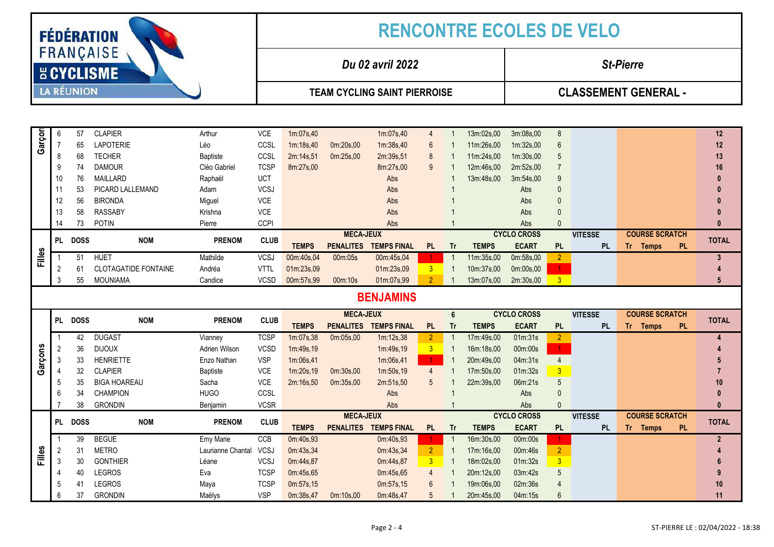| <b>FÉDÉRATION</b>              |                |                   |                             |                        |                  | <b>RENCONTRE ECOLES DE VELO</b> |                  |                                     |                 |                |                                      |                             |                |                                       |                       |                |  |  |
|--------------------------------|----------------|-------------------|-----------------------------|------------------------|------------------|---------------------------------|------------------|-------------------------------------|-----------------|----------------|--------------------------------------|-----------------------------|----------------|---------------------------------------|-----------------------|----------------|--|--|
| FRANÇAISE<br><b>E CYCLISME</b> |                |                   |                             |                        | Du 02 avril 2022 |                                 |                  |                                     |                 |                |                                      | <b>St-Pierre</b>            |                |                                       |                       |                |  |  |
|                                |                | <b>LA RÉUNION</b> |                             |                        |                  |                                 |                  | <b>TEAM CYCLING SAINT PIERROISE</b> |                 |                |                                      | <b>CLASSEMENT GENERAL -</b> |                |                                       |                       |                |  |  |
|                                |                |                   |                             |                        |                  |                                 |                  |                                     |                 |                |                                      |                             |                |                                       |                       |                |  |  |
| Garçor                         | 6              | 57                | <b>CLAPIER</b>              | Arthur                 | <b>VCE</b>       | 1m:07s,40                       |                  | 1m:07s,40                           | 4               |                | 13m:02s,00                           | 3m:08s,00                   | 8              |                                       |                       | 12             |  |  |
|                                | $\overline{7}$ | 65                | <b>LAPOTERIE</b>            | Léo                    | CCSL             | 1m:18s,40                       | 0m:20s,00        | 1m:38s,40                           | 6               |                | 11m:26s,00                           | 1m:32s,00                   | 6              |                                       |                       | 12             |  |  |
|                                | 8              | 68                | <b>TECHER</b>               | <b>Baptiste</b>        | CCSL             | 2m:14s,51                       | 0m:25s,00        | 2m:39s,51                           | 8               |                | 11m:24s,00                           | 1m:30s,00                   | 5              |                                       |                       | 13             |  |  |
|                                | 9              | 74                | <b>DAMOUR</b>               | Cléo Gabriel           | <b>TCSP</b>      | 8m:27s,00                       |                  | 8m:27s,00                           | 9               |                | 12m:46s,00                           | 2m:52s,00                   |                |                                       |                       | 16             |  |  |
|                                | 10             | 76                | <b>MAILLARD</b>             | Raphaël                | <b>UCT</b>       |                                 |                  | Abs                                 |                 |                | 13m:48s,00                           | 3m:54s,00                   | 9              |                                       |                       |                |  |  |
|                                | 11             | 53                | PICARD LALLEMAND            | Adam                   | <b>VCSJ</b>      |                                 |                  | Abs                                 |                 |                |                                      | Abs                         | $\Omega$       |                                       |                       |                |  |  |
|                                | 12             | 56                | <b>BIRONDA</b>              | Miguel                 | VCE              |                                 |                  | Abs                                 |                 |                |                                      | Abs                         | $\Omega$       |                                       |                       |                |  |  |
|                                | 13             | 58                | <b>RASSABY</b>              | Krishna                | VCE              |                                 |                  | Abs                                 |                 |                |                                      | Abs                         | $\theta$       |                                       |                       |                |  |  |
|                                | 14             | 73                | <b>POTIN</b>                | Pierre                 | <b>CCPI</b>      |                                 |                  | Abs                                 |                 |                |                                      | Abs                         | $\Omega$       |                                       |                       | Ω              |  |  |
|                                | <b>PL</b>      | <b>DOSS</b>       | <b>NOM</b>                  | <b>PRENOM</b>          | <b>CLUB</b>      |                                 | <b>MECA-JEUX</b> |                                     |                 |                | <b>CYCLO CROSS</b><br><b>VITESSE</b> |                             |                | <b>COURSE SCRATCH</b><br><b>TOTAL</b> |                       |                |  |  |
|                                |                |                   |                             |                        |                  | <b>TEMPS</b>                    | <b>PENALITES</b> | <b>TEMPS FINAL</b>                  | <b>PL</b>       | <b>Tr</b>      | <b>TEMPS</b>                         | <b>ECART</b>                | <b>PL</b>      | <b>PL</b>                             | <b>PL</b><br>Tr Temps |                |  |  |
| Filles                         | $\overline{1}$ | 51                | <b>HUET</b>                 | Mathilde               | <b>VCSJ</b>      | 00m:40s,04                      | 00m:05s          | 00m:45s,04                          | 1.              | $\overline{1}$ | 11m:35s,00                           | 0m:58s,00                   | $\overline{2}$ |                                       |                       | 3              |  |  |
|                                | 2              | 61                | <b>CLOTAGATIDE FONTAINE</b> | Andréa                 | <b>VTTL</b>      | 01m:23s,09                      |                  | 01m:23s,09                          | 3 <sup>°</sup>  | $\overline{1}$ | 10m:37s,00                           | 0m:00s,00                   | 1              |                                       |                       |                |  |  |
|                                | 3              | 55                | <b>MOUNIAMA</b>             | Candice                | <b>VCSD</b>      | 00m:57s,99                      | 00m:10s          | 01m:07s,99                          | $\overline{2}$  |                | 13m:07s,00                           | 2m:30s,00                   | $\overline{3}$ |                                       |                       |                |  |  |
|                                |                |                   |                             |                        |                  |                                 |                  | <b>BENJAMINS</b>                    |                 |                |                                      |                             |                |                                       |                       |                |  |  |
|                                |                |                   |                             |                        |                  |                                 | <b>MECA-JEUX</b> |                                     |                 | $6\phantom{1}$ |                                      | <b>CYCLO CROSS</b>          |                | <b>VITESSE</b>                        | <b>COURSE SCRATCH</b> |                |  |  |
|                                | <b>PL</b>      | <b>DOSS</b>       | <b>NOM</b>                  | <b>PRENOM</b>          | <b>CLUB</b>      | <b>TEMPS</b>                    | <b>PENALITES</b> | <b>TEMPS FINAL</b>                  | <b>PL</b>       | <b>Tr</b>      | <b>TEMPS</b>                         | <b>ECART</b>                | <b>PL</b>      | <b>PL</b>                             | Tr Temps<br><b>PL</b> | <b>TOTAL</b>   |  |  |
|                                | $\overline{1}$ | 42                | <b>DUGAST</b>               | Vianney                | <b>TCSP</b>      | 1m:07s,38                       | 0m:05s,00        | 1m:12s,38                           | $\overline{2}$  | -1             | 17m:49s,00                           | 01m:31s                     | $\overline{2}$ |                                       |                       |                |  |  |
|                                | $\overline{2}$ | 36                | <b>DIJOUX</b>               | Adrien Wilson          | <b>VCSD</b>      | 1m:49s,19                       |                  | 1m:49s,19                           | $\mathbf{3}$    | 1              | 16m:18s,00                           | 00m:00s                     | $\mathbf{1}$   |                                       |                       |                |  |  |
| Garçons                        | 3              | 33                | <b>HENRIETTE</b>            | Enzo Nathan            | <b>VSP</b>       | 1m:06s,41                       |                  | 1m:06s,41                           | $\mathbf{1}$    |                | 20m:49s,00                           | 04m:31s                     | $\overline{4}$ |                                       |                       |                |  |  |
|                                | $\overline{4}$ | 32                | <b>CLAPIER</b>              | <b>Baptiste</b>        | <b>VCE</b>       | 1m:20s,19                       | 0m:30s,00        | 1m:50s,19                           | $\overline{4}$  |                | 17m:50s,00                           | 01m:32s                     | $\overline{3}$ |                                       |                       |                |  |  |
|                                | 5              | 35                | <b>BIGA HOAREAU</b>         | Sacha                  | <b>VCE</b>       | 2m:16s,50                       | 0m:35s,00        | 2m:51s,50                           | 5               |                | 22m:39s,00                           | 06m:21s                     | 5              |                                       |                       | 10             |  |  |
|                                | 6              | 34                | <b>CHAMPION</b>             | <b>HUGO</b>            | CCSL             |                                 |                  | Abs                                 |                 |                |                                      | Abs                         | $\theta$       |                                       |                       |                |  |  |
|                                |                | 38                | <b>GRONDIN</b>              | Benjamin               | <b>VCSR</b>      |                                 |                  | Abs                                 |                 |                |                                      | Abs                         | $\Omega$       |                                       |                       |                |  |  |
|                                | <b>PI</b>      | <b>DOSS</b>       |                             |                        | <b>CLUB</b>      |                                 | <b>MECA-JEUX</b> |                                     |                 |                |                                      | <b>CYCLO CROSS</b>          |                | <b>VITESSE</b>                        | <b>COURSE SCRATCH</b> | <b>TOTAL</b>   |  |  |
|                                |                |                   | <b>NOM</b>                  | <b>PRENOM</b>          |                  | <b>TEMPS</b>                    | <b>PENALITES</b> | <b>TEMPS FINAL</b>                  | <b>PL</b>       | Tr             | <b>TEMPS</b>                         | <b>ECART</b>                | <b>PL</b>      | <b>PL</b>                             | Tr Temps<br><b>PL</b> |                |  |  |
|                                |                | 39                | <b>BEGUE</b>                | Emy Marie              | CCB              | 0m:40s,93                       |                  | 0m:40s,93                           | 1.              | $\overline{1}$ | 16m:30s,00                           | 00m:00s                     |                |                                       |                       | $\overline{2}$ |  |  |
|                                | 2              | 31                | <b>METRO</b>                | Laurianne Chantal VCSJ |                  | 0m:43s,34                       |                  | 0m:43s,34                           | $\overline{2}$  | $\mathbf 1$    | 17m:16s,00                           | 00m:46s                     | $\overline{2}$ |                                       |                       |                |  |  |
| <b>Filles</b>                  | 3              | 30                | <b>GONTHIER</b>             | Léane                  | <b>VCSJ</b>      | 0m:44s,87                       |                  | 0m:44s,87                           | $\mathbf{3}$    | -1             | 18m:02s,00                           | 01m:32s                     | $\mathbf{3}$   |                                       |                       |                |  |  |
|                                | 4              | 40                | <b>LEGROS</b>               | Eva                    | <b>TCSP</b>      | 0m:45s,65                       |                  | 0m:45s,65                           | $\overline{4}$  |                | 20m:12s,00                           | 03m:42s                     | $\sqrt{5}$     |                                       |                       |                |  |  |
|                                | 5              | 41                | <b>LEGROS</b>               | Maya                   | <b>TCSP</b>      | 0m:57s,15                       |                  | 0m:57s,15                           | 6               |                | 19m:06s,00                           | 02m:36s                     | $\overline{4}$ |                                       |                       | 10             |  |  |
|                                | 6              | 37                | <b>GRONDIN</b>              | Maëlys                 | <b>VSP</b>       | 0m:38s,47                       | 0m:10s,00        | 0m:48s,47                           | $5\overline{)}$ |                | 20m:45s,00                           | 04m:15s                     | 6              |                                       |                       | 11             |  |  |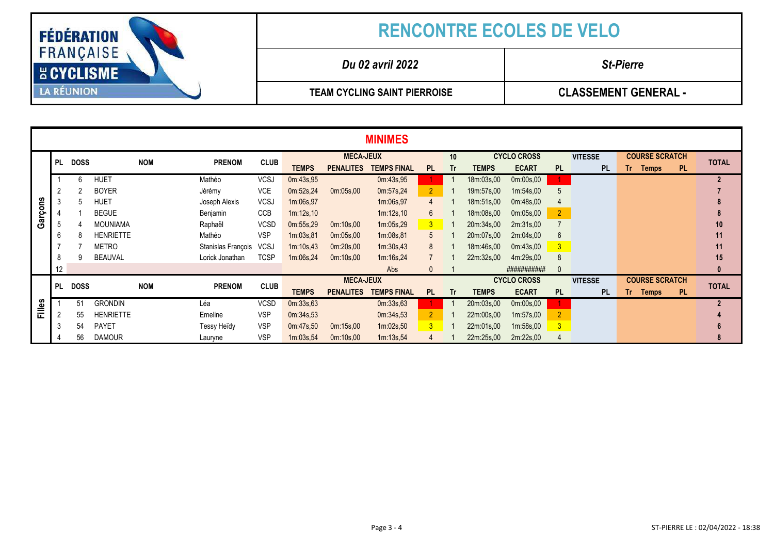

|               | <b>MINIMES</b> |             |                  |            |                    |             |                  |                  |                    |                |    |                    |                    |                |                |                       |          |              |                  |
|---------------|----------------|-------------|------------------|------------|--------------------|-------------|------------------|------------------|--------------------|----------------|----|--------------------|--------------------|----------------|----------------|-----------------------|----------|--------------|------------------|
|               | <b>PL</b>      | <b>DOSS</b> |                  |            | <b>PRENOM</b>      |             | <b>MECA-JEUX</b> |                  |                    |                | 10 |                    | <b>CYCLO CROSS</b> |                | <b>VITESSE</b> | <b>COURSE SCRATCH</b> |          | <b>TOTAL</b> |                  |
|               |                |             |                  | <b>NOM</b> |                    | <b>CLUB</b> | <b>TEMPS</b>     | <b>PENALITES</b> | <b>TEMPS FINAL</b> | PL             | Tr | <b>TEMPS</b>       | <b>ECART</b>       | <b>PL</b>      | <b>PL</b>      |                       | Tr Temps | <b>PL</b>    |                  |
|               |                | 6           | <b>HUET</b>      |            | Mathéo             | <b>VCSJ</b> | 0m:43s,95        |                  | 0m:43s,95          |                |    | 18m:03s,00         | 0m:00s,00          |                |                |                       |          |              | $\overline{2}$   |
|               |                |             | <b>BOYER</b>     |            | Jérémy             | <b>VCE</b>  | 0m:52s,24        | 0m:05s,00        | 0m:57s,24          | 2 <sup>1</sup> |    | 19m:57s,00         | 1m:54s.00          | 5              |                |                       |          |              |                  |
|               | 3              |             | <b>HUET</b>      |            | Joseph Alexis      | <b>VCSJ</b> | 1m:06s,97        |                  | 1m:06s,97          | 4              |    | 18m:51s,00         | 0m:48s,00          |                |                |                       |          |              |                  |
| Garçons       |                |             | <b>BEGUE</b>     |            | Benjamin           | <b>CCB</b>  | 1m:12s,10        |                  | 1m:12s,10          | $6^{\circ}$    |    | 18m:08s,00         | 0m:05s,00          | $\overline{2}$ |                |                       |          |              |                  |
|               | 5              |             | <b>MOUNIAMA</b>  |            | Raphaël            | <b>VCSD</b> | 0m:55s,29        | 0m:10s,00        | 1m:05s,29          | 3 <sup>7</sup> |    | 20m:34s,00         | 2m:31s,00          |                |                |                       |          |              | 10               |
|               | 6              |             | <b>HENRIETTE</b> |            | Mathéo             | <b>VSP</b>  | 1m:03s,81        | 0m:05s.00        | 1m:08s,81          | 5              |    | 20m:07s,00         | 2m:04s,00          | 6              |                |                       |          |              | 11               |
|               |                |             | <b>METRO</b>     |            | Stanislas François | <b>VCSJ</b> | 1m:10s,43        | 0m:20s.00        | 1m:30s.43          | 8              |    | 18m:46s,00         | 0m:43s.00          | 3              |                |                       |          |              | 11               |
|               | 8              |             | BEAUVAL          |            | Lorick Jonathan    | <b>TCSP</b> | 1m:06s,24        | 0m:10s,00        | 1m:16s,24          |                |    | 22m:32s,00         | 4m:29s,00          | 8              |                |                       |          |              | 15               |
|               | 12             |             |                  |            |                    |             |                  |                  | Abs                | 0              |    |                    | ###########        |                |                |                       |          |              | $\boldsymbol{0}$ |
|               | <b>PL</b>      | <b>DOSS</b> |                  | <b>NOM</b> | <b>PRENOM</b>      | <b>CLUB</b> |                  | <b>MECA-JEUX</b> |                    |                |    | <b>CYCLO CROSS</b> |                    |                | <b>VITESSE</b> | <b>COURSE SCRATCH</b> |          | <b>TOTAL</b> |                  |
|               |                |             |                  |            |                    |             | <b>TEMPS</b>     | <b>PENALITES</b> | <b>TEMPS FINAL</b> | <b>PL</b>      | Tr | <b>TEMPS</b>       | <b>ECART</b>       | <b>PL</b>      | <b>PL</b>      |                       | Tr Temps | <b>PL</b>    |                  |
| <b>Filles</b> |                | 51          | <b>GRONDIN</b>   |            | Léa                | <b>VCSD</b> | 0m:33s,63        |                  | 0m:33s.63          |                |    | 20m:03s,00         | 0m:00s,00          |                |                |                       |          |              | $\overline{2}$   |
|               | $\overline{2}$ | 55          | <b>HENRIETTE</b> |            | Emeline            | <b>VSP</b>  | 0m:34s,53        |                  | 0m:34s.53          | 2 <sup>2</sup> |    | 22m:00s,00         | 1m:57s.00          | $\overline{2}$ |                |                       |          |              |                  |
|               | 3              | 54          | <b>PAYET</b>     |            | Tessy Heïdy        | <b>VSP</b>  | 0m:47s,50        | 0m:15s,00        | 1m:02s,50          | 3 <sup>1</sup> |    | 22m:01s,00         | 1m:58s,00          | $\mathbf{3}$   |                |                       |          |              |                  |
|               |                | 56          | <b>DAMOUR</b>    |            | Lauryne            | <b>VSP</b>  | 1m:03s.54        | 0m:10s,00        | 1m:13s.54          |                |    | 22m:25s,00         | 2m:22s,00          |                |                |                       |          |              | 8                |